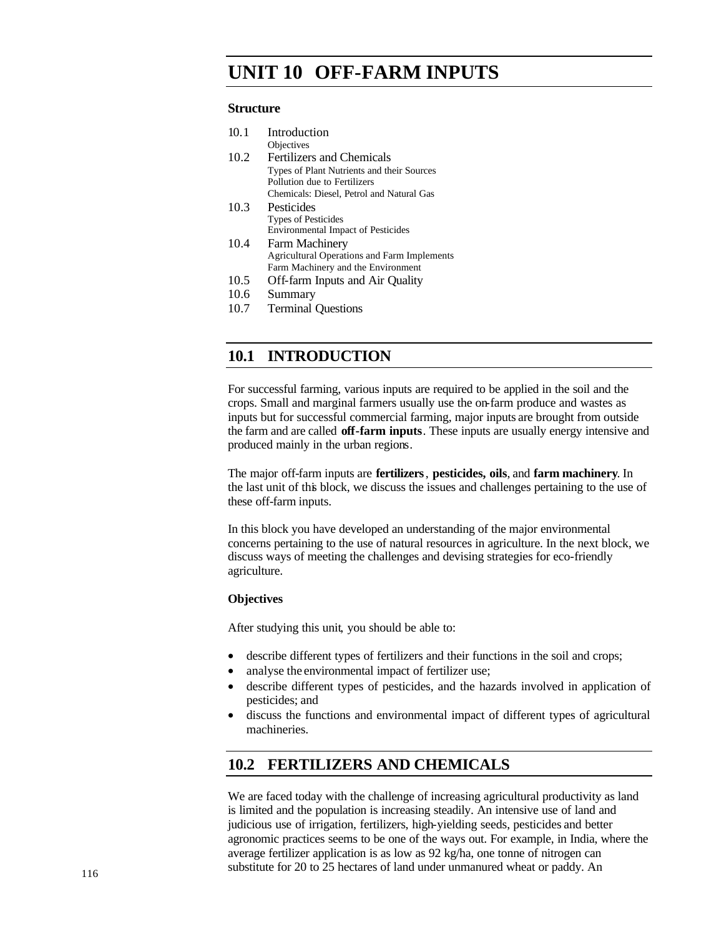# **UNIT 10 OFF-FARM INPUTS**

### **Structure**

| 10.1 | Introduction                                       |
|------|----------------------------------------------------|
|      | Objectives                                         |
| 10.2 | <b>Fertilizers and Chemicals</b>                   |
|      | Types of Plant Nutrients and their Sources         |
|      | Pollution due to Fertilizers                       |
|      | Chemicals: Diesel, Petrol and Natural Gas          |
| 10.3 | Pesticides                                         |
|      | <b>Types of Pesticides</b>                         |
|      | <b>Environmental Impact of Pesticides</b>          |
| 10.4 | <b>Farm Machinery</b>                              |
|      | <b>Agricultural Operations and Farm Implements</b> |
|      | Farm Machinery and the Environment                 |
| 10.5 | Off-farm Inputs and Air Quality                    |
| 10.6 | Summary                                            |

10.7 Terminal Questions

# **10.1 INTRODUCTION**

For successful farming, various inputs are required to be applied in the soil and the crops. Small and marginal farmers usually use the on-farm produce and wastes as inputs but for successful commercial farming, major inputs are brought from outside the farm and are called **off-farm inputs**. These inputs are usually energy intensive and produced mainly in the urban regions.

The major off-farm inputs are **fertilizers**, **pesticides, oils**, and **farm machinery**. In the last unit of this block, we discuss the issues and challenges pertaining to the use of these off-farm inputs.

In this block you have developed an understanding of the major environmental concerns pertaining to the use of natural resources in agriculture. In the next block, we discuss ways of meeting the challenges and devising strategies for eco-friendly agriculture.

### **Objectives**

After studying this unit, you should be able to:

- describe different types of fertilizers and their functions in the soil and crops;
- analyse the environmental impact of fertilizer use;
- describe different types of pesticides, and the hazards involved in application of pesticides; and
- discuss the functions and environmental impact of different types of agricultural machineries.

# **10.2 FERTILIZERS AND CHEMICALS**

We are faced today with the challenge of increasing agricultural productivity as land is limited and the population is increasing steadily. An intensive use of land and judicious use of irrigation, fertilizers, high-yielding seeds, pesticides and better agronomic practices seems to be one of the ways out. For example, in India, where the average fertilizer application is as low as 92 kg/ha, one tonne of nitrogen can substitute for 20 to 25 hectares of land under unmanured wheat or paddy. An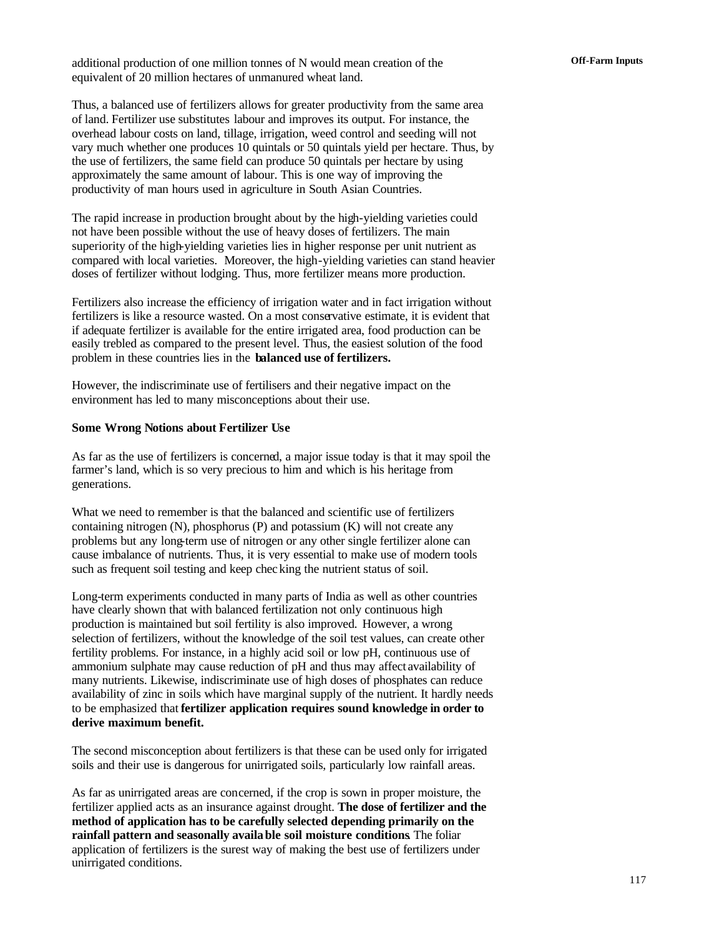**Off-Farm Inputs** additional production of one million tonnes of N would mean creation of the equivalent of 20 million hectares of unmanured wheat land.

Thus, a balanced use of fertilizers allows for greater productivity from the same area of land. Fertilizer use substitutes labour and improves its output. For instance, the overhead labour costs on land, tillage, irrigation, weed control and seeding will not vary much whether one produces 10 quintals or 50 quintals yield per hectare. Thus, by the use of fertilizers, the same field can produce 50 quintals per hectare by using approximately the same amount of labour. This is one way of improving the productivity of man hours used in agriculture in South Asian Countries.

The rapid increase in production brought about by the high-yielding varieties could not have been possible without the use of heavy doses of fertilizers. The main superiority of the high-yielding varieties lies in higher response per unit nutrient as compared with local varieties. Moreover, the high-yielding varieties can stand heavier doses of fertilizer without lodging. Thus, more fertilizer means more production.

Fertilizers also increase the efficiency of irrigation water and in fact irrigation without fertilizers is like a resource wasted. On a most conservative estimate, it is evident that if adequate fertilizer is available for the entire irrigated area, food production can be easily trebled as compared to the present level. Thus, the easiest solution of the food problem in these countries lies in the **balanced use of fertilizers.** 

However, the indiscriminate use of fertilisers and their negative impact on the environment has led to many misconceptions about their use.

#### **Some Wrong Notions about Fertilizer Use**

As far as the use of fertilizers is concerned, a major issue today is that it may spoil the farmer's land, which is so very precious to him and which is his heritage from generations.

What we need to remember is that the balanced and scientific use of fertilizers containing nitrogen (N), phosphorus (P) and potassium (K) will not create any problems but any long-term use of nitrogen or any other single fertilizer alone can cause imbalance of nutrients. Thus, it is very essential to make use of modern tools such as frequent soil testing and keep checking the nutrient status of soil.

Long-term experiments conducted in many parts of India as well as other countries have clearly shown that with balanced fertilization not only continuous high production is maintained but soil fertility is also improved. However, a wrong selection of fertilizers, without the knowledge of the soil test values, can create other fertility problems. For instance, in a highly acid soil or low pH, continuous use of ammonium sulphate may cause reduction of pH and thus may affect availability of many nutrients. Likewise, indiscriminate use of high doses of phosphates can reduce availability of zinc in soils which have marginal supply of the nutrient. It hardly needs to be emphasized that **fertilizer application requires sound knowledge in order to derive maximum benefit.** 

The second misconception about fertilizers is that these can be used only for irrigated soils and their use is dangerous for unirrigated soils, particularly low rainfall areas.

As far as unirrigated areas are concerned, if the crop is sown in proper moisture, the fertilizer applied acts as an insurance against drought. **The dose of fertilizer and the method of application has to be carefully selected depending primarily on the rainfall pattern and seasonally available soil moisture conditions**. The foliar application of fertilizers is the surest way of making the best use of fertilizers under unirrigated conditions.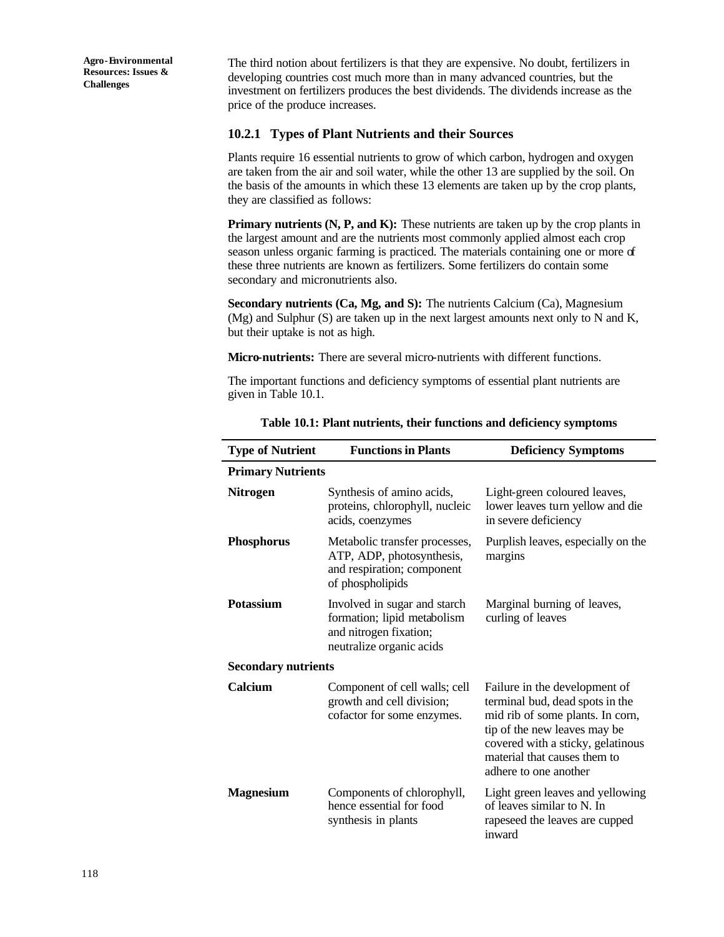The third notion about fertilizers is that they are expensive. No doubt, fertilizers in developing countries cost much more than in many advanced countries, but the investment on fertilizers produces the best dividends. The dividends increase as the price of the produce increases.

### **10.2.1 Types of Plant Nutrients and their Sources**

Plants require 16 essential nutrients to grow of which carbon, hydrogen and oxygen are taken from the air and soil water, while the other 13 are supplied by the soil. On the basis of the amounts in which these 13 elements are taken up by the crop plants, they are classified as follows:

**Primary nutrients (N, P, and K):** These nutrients are taken up by the crop plants in the largest amount and are the nutrients most commonly applied almost each crop season unless organic farming is practiced. The materials containing one or more of these three nutrients are known as fertilizers. Some fertilizers do contain some secondary and micronutrients also.

**Secondary nutrients (Ca, Mg, and S):** The nutrients Calcium (Ca), Magnesium (Mg) and Sulphur (S) are taken up in the next largest amounts next only to N and K, but their uptake is not as high.

**Micro-nutrients:** There are several micro-nutrients with different functions.

The important functions and deficiency symptoms of essential plant nutrients are given in Table 10.1.

| <b>Type of Nutrient</b>    | <b>Functions in Plants</b>                                                                                                                                    | <b>Deficiency Symptoms</b>                                                                                                                                                                                                         |  |  |  |  |
|----------------------------|---------------------------------------------------------------------------------------------------------------------------------------------------------------|------------------------------------------------------------------------------------------------------------------------------------------------------------------------------------------------------------------------------------|--|--|--|--|
|                            | <b>Primary Nutrients</b>                                                                                                                                      |                                                                                                                                                                                                                                    |  |  |  |  |
| <b>Nitrogen</b>            | Synthesis of amino acids,<br>proteins, chlorophyll, nucleic<br>acids, coenzymes                                                                               | Light-green coloured leaves,<br>lower leaves turn yellow and die<br>in severe deficiency                                                                                                                                           |  |  |  |  |
| <b>Phosphorus</b>          | Metabolic transfer processes,<br>Purplish leaves, especially on the<br>ATP, ADP, photosynthesis,<br>margins<br>and respiration; component<br>of phospholipids |                                                                                                                                                                                                                                    |  |  |  |  |
| <b>Potassium</b>           | Involved in sugar and starch<br>formation; lipid metabolism<br>and nitrogen fixation;<br>neutralize organic acids                                             | Marginal burning of leaves,<br>curling of leaves                                                                                                                                                                                   |  |  |  |  |
| <b>Secondary nutrients</b> |                                                                                                                                                               |                                                                                                                                                                                                                                    |  |  |  |  |
| Calcium                    | Component of cell walls; cell<br>growth and cell division;<br>cofactor for some enzymes.                                                                      | Failure in the development of<br>terminal bud, dead spots in the<br>mid rib of some plants. In corn,<br>tip of the new leaves may be<br>covered with a sticky, gelatinous<br>material that causes them to<br>adhere to one another |  |  |  |  |
| <b>Magnesium</b>           | Components of chlorophyll,<br>hence essential for food<br>synthesis in plants                                                                                 | Light green leaves and yellowing<br>of leaves similar to N. In<br>rapeseed the leaves are cupped<br>inward                                                                                                                         |  |  |  |  |

**Table 10.1: Plant nutrients, their functions and deficiency symptoms**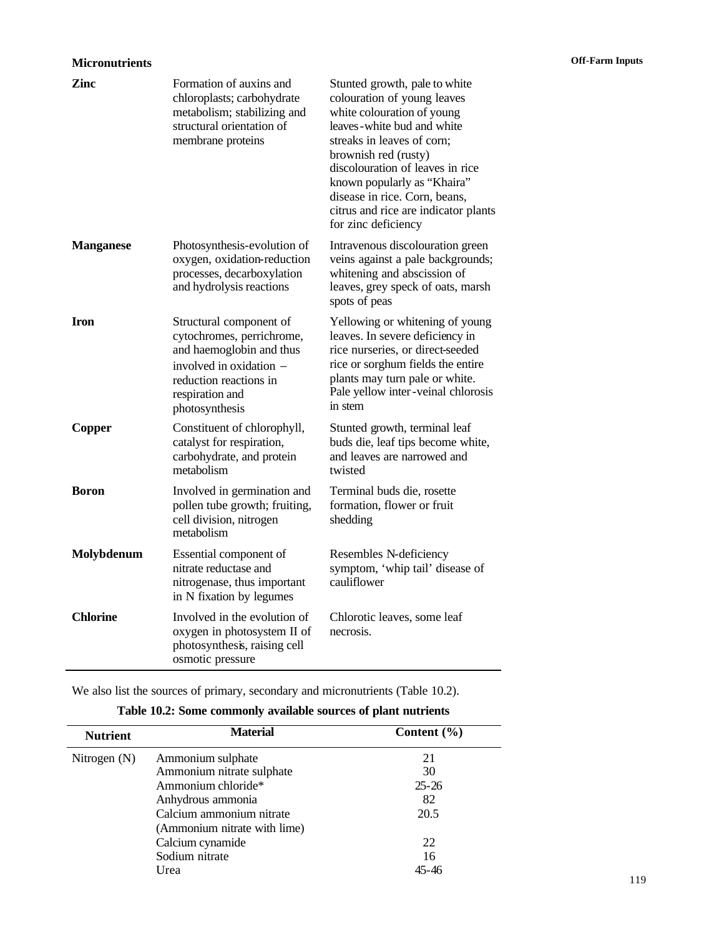| Zinc             | Formation of auxins and<br>chloroplasts; carbohydrate<br>metabolism; stabilizing and<br>structural orientation of<br>membrane proteins                                     | Stunted growth, pale to white<br>colouration of young leaves<br>white colouration of young<br>leaves-white bud and white<br>streaks in leaves of corn;<br>brownish red (rusty)<br>discolouration of leaves in rice<br>known popularly as "Khaira"<br>disease in rice. Corn, beans,<br>citrus and rice are indicator plants<br>for zinc deficiency |
|------------------|----------------------------------------------------------------------------------------------------------------------------------------------------------------------------|---------------------------------------------------------------------------------------------------------------------------------------------------------------------------------------------------------------------------------------------------------------------------------------------------------------------------------------------------|
| <b>Manganese</b> | Photosynthesis-evolution of<br>oxygen, oxidation-reduction<br>processes, decarboxylation<br>and hydrolysis reactions                                                       | Intravenous discolouration green<br>veins against a pale backgrounds;<br>whitening and abscission of<br>leaves, grey speck of oats, marsh<br>spots of peas                                                                                                                                                                                        |
| <b>Iron</b>      | Structural component of<br>cytochromes, perrichrome,<br>and haemoglobin and thus<br>involved in oxidation -<br>reduction reactions in<br>respiration and<br>photosynthesis | Yellowing or whitening of young<br>leaves. In severe deficiency in<br>rice nurseries, or direct-seeded<br>rice or sorghum fields the entire<br>plants may turn pale or white.<br>Pale yellow inter-veinal chlorosis<br>in stem                                                                                                                    |
| Copper           | Constituent of chlorophyll,<br>catalyst for respiration,<br>carbohydrate, and protein<br>metabolism                                                                        | Stunted growth, terminal leaf<br>buds die, leaf tips become white,<br>and leaves are narrowed and<br>twisted                                                                                                                                                                                                                                      |
| <b>Boron</b>     | Involved in germination and<br>pollen tube growth; fruiting,<br>cell division, nitrogen<br>metabolism                                                                      | Terminal buds die, rosette<br>formation, flower or fruit<br>shedding                                                                                                                                                                                                                                                                              |
| Molybdenum       | Essential component of<br>nitrate reductase and<br>nitrogenase, thus important<br>in N fixation by legumes                                                                 | Resembles N-deficiency<br>symptom, 'whip tail' disease of<br>cauliflower                                                                                                                                                                                                                                                                          |
| <b>Chlorine</b>  | Involved in the evolution of<br>oxygen in photosystem II of<br>photosynthesis, raising cell<br>osmotic pressure                                                            | Chlorotic leaves, some leaf<br>necrosis.                                                                                                                                                                                                                                                                                                          |

We also list the sources of primary, secondary and micronutrients (Table 10.2).

| <b>Nutrient</b> | <b>Material</b>              | Content $(\% )$ |
|-----------------|------------------------------|-----------------|
| Nitrogen $(N)$  | Ammonium sulphate            | 21              |
|                 | Ammonium nitrate sulphate    | 30              |
|                 | Ammonium chloride*           | $25 - 26$       |
|                 | Anhydrous ammonia            | 82              |
|                 | Calcium ammonium nitrate     | 20.5            |
|                 | (Ammonium nitrate with lime) |                 |
|                 | Calcium cynamide             | 22              |
|                 | Sodium nitrate               | 16              |
|                 | Urea                         |                 |

# **Table 10.2: Some commonly available sources of plant nutrients**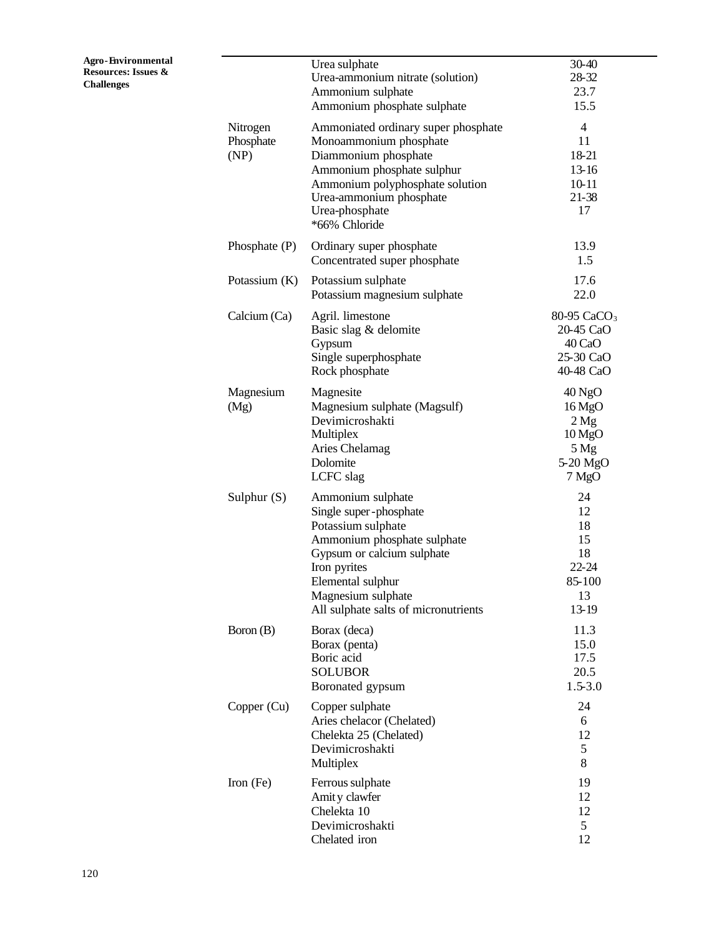|                               | Urea sulphate<br>Urea-ammonium nitrate (solution)<br>Ammonium sulphate<br>Ammonium phosphate sulphate                                                                                                                             | 30-40<br>28-32<br>23.7<br>15.5                                                                  |
|-------------------------------|-----------------------------------------------------------------------------------------------------------------------------------------------------------------------------------------------------------------------------------|-------------------------------------------------------------------------------------------------|
| Nitrogen<br>Phosphate<br>(NP) | Ammoniated ordinary super phosphate<br>Monoammonium phosphate<br>Diammonium phosphate<br>Ammonium phosphate sulphur<br>Ammonium polyphosphate solution<br>Urea-ammonium phosphate<br>Urea-phosphate<br>*66% Chloride              | $\overline{4}$<br>11<br>18-21<br>13-16<br>10-11<br>21-38<br>17                                  |
| Phosphate $(P)$               | Ordinary super phosphate<br>Concentrated super phosphate                                                                                                                                                                          | 13.9<br>1.5                                                                                     |
| Potassium $(K)$               | Potassium sulphate<br>Potassium magnesium sulphate                                                                                                                                                                                | 17.6<br>22.0                                                                                    |
| Calcium (Ca)                  | Agril. limestone<br>Basic slag & delomite<br>Gypsum<br>Single superphosphate<br>Rock phosphate                                                                                                                                    | 80-95 CaCO <sub>3</sub><br>20-45 CaO<br>40 CaO<br>25-30 CaO<br>40-48 CaO                        |
| Magnesium<br>(Mg)             | Magnesite<br>Magnesium sulphate (Magsulf)<br>Devimicroshakti<br>Multiplex<br>Aries Chelamag<br>Dolomite<br>LCFC slag                                                                                                              | $40$ NgO<br>$16\text{MgO}$<br>2 Mg<br>$10\,\text{MgO}$<br>$5\,\mathrm{Mg}$<br>5-20 MgO<br>7 MgO |
| Sulphur $(S)$                 | Ammonium sulphate<br>Single super-phosphate<br>Potassium sulphate<br>Ammonium phosphate sulphate<br>Gypsum or calcium sulphate<br>Iron pyrites<br>Elemental sulphur<br>Magnesium sulphate<br>All sulphate salts of micronutrients | 24<br>12<br>18<br>15<br>18<br>22-24<br>85-100<br>13<br>13-19                                    |
| Boron $(B)$                   | Borax (deca)<br>Borax (penta)<br>Boric acid<br><b>SOLUBOR</b><br>Boronated gypsum                                                                                                                                                 | 11.3<br>15.0<br>17.5<br>20.5<br>1.5-3.0                                                         |
| Copper (Cu)                   | Copper sulphate<br>Aries chelacor (Chelated)<br>Chelekta 25 (Chelated)<br>Devimicroshakti<br>Multiplex                                                                                                                            | 24<br>6<br>12<br>5<br>8                                                                         |
| Iron (Fe)                     | Ferrous sulphate<br>Amity clawfer<br>Chelekta 10<br>Devimicroshakti<br>Chelated iron                                                                                                                                              | 19<br>12<br>12<br>5<br>12                                                                       |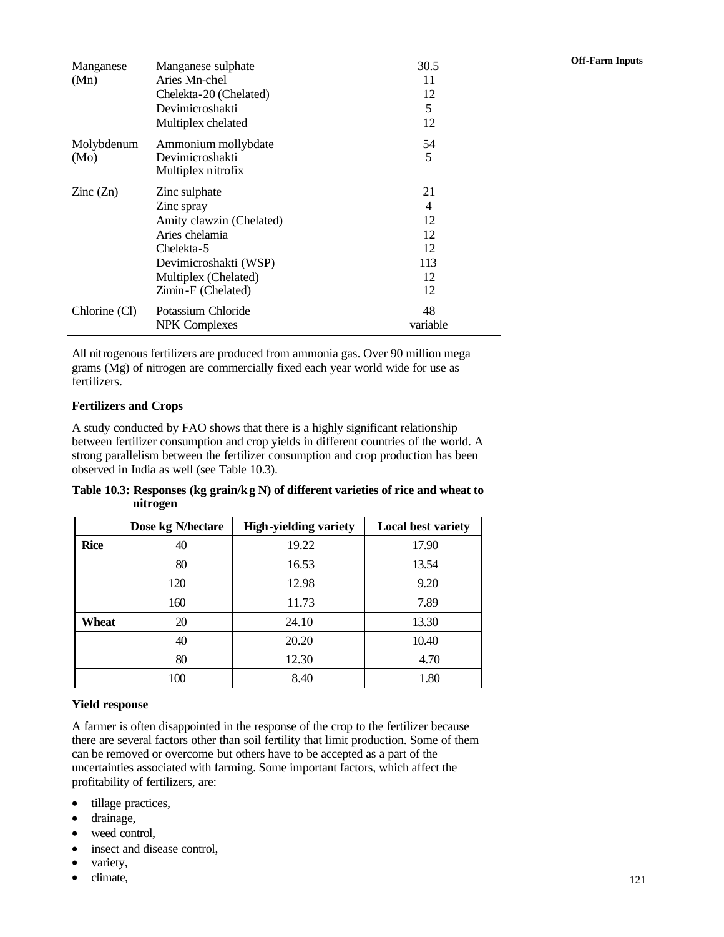| Manganese<br>(Mn)        | Manganese sulphate<br>Aries Mn-chel<br>Chelekta-20 (Chelated)<br>Devimicroshakti<br>Multiplex chelated                                                         | 30.5<br>11<br>12<br>5<br>12                  | <b>Off-Farm Inputs</b> |
|--------------------------|----------------------------------------------------------------------------------------------------------------------------------------------------------------|----------------------------------------------|------------------------|
| Molybdenum<br>(Mo)       | Ammonium mollybdate<br>Devimicroshakti<br>Multiplex nitrofix                                                                                                   | 54<br>5                                      |                        |
| $\text{Zinc}(\text{Zn})$ | Zinc sulphate<br>Zinc spray<br>Amity clawzin (Chelated)<br>Aries chelamia<br>Chelekta-5<br>Devimicroshakti (WSP)<br>Multiplex (Chelated)<br>Zimin-F (Chelated) | 21<br>4<br>12<br>12<br>12<br>113<br>12<br>12 |                        |
| Chlorine (Cl)            | Potassium Chloride<br><b>NPK</b> Complexes                                                                                                                     | 48<br>variable                               |                        |

All nitrogenous fertilizers are produced from ammonia gas. Over 90 million mega grams (Mg) of nitrogen are commercially fixed each year world wide for use as fertilizers.

#### **Fertilizers and Crops**

A study conducted by FAO shows that there is a highly significant relationship between fertilizer consumption and crop yields in different countries of the world. A strong parallelism between the fertilizer consumption and crop production has been observed in India as well (see Table 10.3).

**Table 10.3: Responses (kg grain/kg N) of different varieties of rice and wheat to nitrogen**

|             | Dose kg N/hectare | <b>High-yielding variety</b> | <b>Local best variety</b> |
|-------------|-------------------|------------------------------|---------------------------|
| <b>Rice</b> | 40                | 19.22                        | 17.90                     |
|             | 80                | 16.53                        | 13.54                     |
|             | 120               | 12.98                        | 9.20                      |
|             | 160               | 11.73                        | 7.89                      |
| Wheat       | 20                | 24.10                        | 13.30                     |
|             | 40                | 20.20                        | 10.40                     |
|             | 80                | 12.30                        | 4.70                      |
|             | 100               | 8.40                         | 1.80                      |

#### **Yield response**

A farmer is often disappointed in the response of the crop to the fertilizer because there are several factors other than soil fertility that limit production. Some of them can be removed or overcome but others have to be accepted as a part of the uncertainties associated with farming. Some important factors, which affect the profitability of fertilizers, are:

- tillage practices,
- drainage,
- weed control,
- insect and disease control,
- variety,
- climate,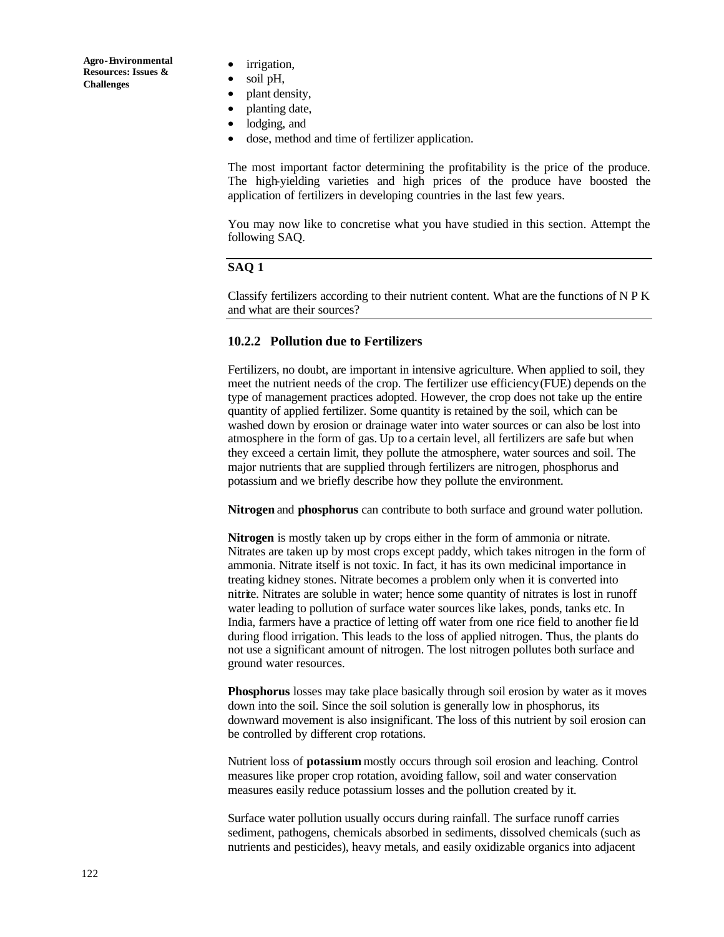- irrigation,
- soil pH,
- plant density,
- planting date,
- lodging, and
- dose, method and time of fertilizer application.

The most important factor determining the profitability is the price of the produce. The high-yielding varieties and high prices of the produce have boosted the application of fertilizers in developing countries in the last few years.

You may now like to concretise what you have studied in this section. Attempt the following SAQ.

### **SAQ 1**

Classify fertilizers according to their nutrient content. What are the functions of N P K and what are their sources?

### **10.2.2 Pollution due to Fertilizers**

Fertilizers, no doubt, are important in intensive agriculture. When applied to soil, they meet the nutrient needs of the crop. The fertilizer use efficiency (FUE) depends on the type of management practices adopted. However, the crop does not take up the entire quantity of applied fertilizer. Some quantity is retained by the soil, which can be washed down by erosion or drainage water into water sources or can also be lost into atmosphere in the form of gas. Up to a certain level, all fertilizers are safe but when they exceed a certain limit, they pollute the atmosphere, water sources and soil. The major nutrients that are supplied through fertilizers are nitrogen, phosphorus and potassium and we briefly describe how they pollute the environment.

**Nitrogen** and **phosphorus** can contribute to both surface and ground water pollution.

**Nitrogen** is mostly taken up by crops either in the form of ammonia or nitrate. Nitrates are taken up by most crops except paddy, which takes nitrogen in the form of ammonia. Nitrate itself is not toxic. In fact, it has its own medicinal importance in treating kidney stones. Nitrate becomes a problem only when it is converted into nitrite. Nitrates are soluble in water; hence some quantity of nitrates is lost in runoff water leading to pollution of surface water sources like lakes, ponds, tanks etc. In India, farmers have a practice of letting off water from one rice field to another fie ld during flood irrigation. This leads to the loss of applied nitrogen. Thus, the plants do not use a significant amount of nitrogen. The lost nitrogen pollutes both surface and ground water resources.

**Phosphorus** losses may take place basically through soil erosion by water as it moves down into the soil. Since the soil solution is generally low in phosphorus, its downward movement is also insignificant. The loss of this nutrient by soil erosion can be controlled by different crop rotations.

Nutrient loss of **potassium** mostly occurs through soil erosion and leaching. Control measures like proper crop rotation, avoiding fallow, soil and water conservation measures easily reduce potassium losses and the pollution created by it.

Surface water pollution usually occurs during rainfall. The surface runoff carries sediment, pathogens, chemicals absorbed in sediments, dissolved chemicals (such as nutrients and pesticides), heavy metals, and easily oxidizable organics into adjacent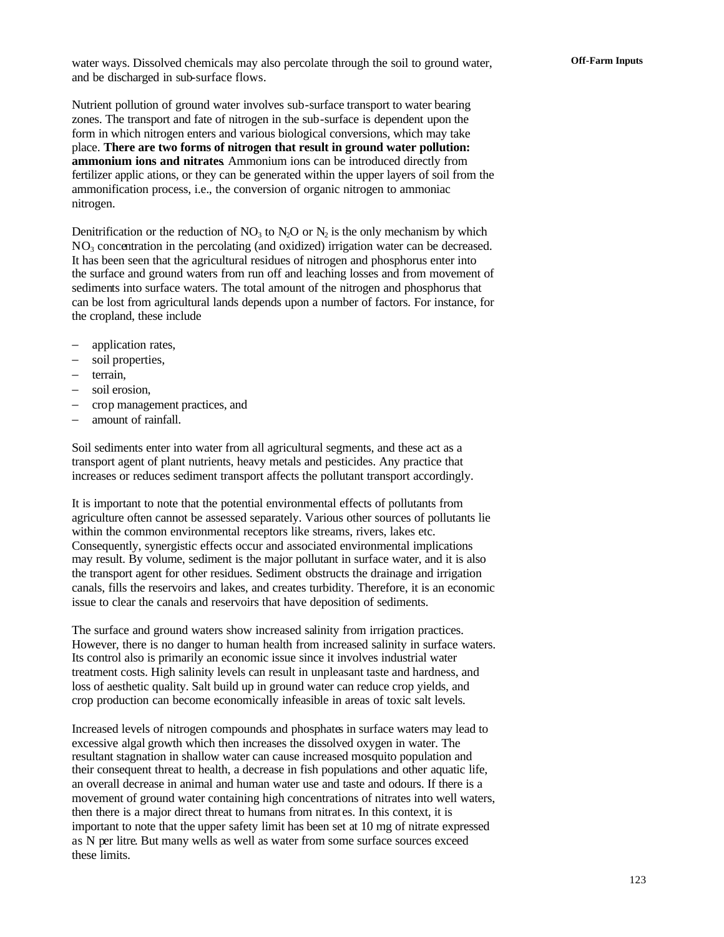water ways. Dissolved chemicals may also percolate through the soil to ground water, **Off-Farm Inputs** and be discharged in sub-surface flows.

Nutrient pollution of ground water involves sub-surface transport to water bearing zones. The transport and fate of nitrogen in the sub-surface is dependent upon the form in which nitrogen enters and various biological conversions, which may take place. **There are two forms of nitrogen that result in ground water pollution: ammonium ions and nitrates**. Ammonium ions can be introduced directly from fertilizer applic ations, or they can be generated within the upper layers of soil from the ammonification process, i.e., the conversion of organic nitrogen to ammoniac nitrogen.

Denitrification or the reduction of  $NO_3$  to  $N_2$ O or  $N_2$  is the only mechanism by which  $NO<sub>3</sub>$  concentration in the percolating (and oxidized) irrigation water can be decreased. It has been seen that the agricultural residues of nitrogen and phosphorus enter into the surface and ground waters from run off and leaching losses and from movement of sediments into surface waters. The total amount of the nitrogen and phosphorus that can be lost from agricultural lands depends upon a number of factors. For instance, for the cropland, these include

- − application rates,
- soil properties,
- − terrain,
- − soil erosion,
- − crop management practices, and
- − amount of rainfall.

Soil sediments enter into water from all agricultural segments, and these act as a transport agent of plant nutrients, heavy metals and pesticides. Any practice that increases or reduces sediment transport affects the pollutant transport accordingly.

It is important to note that the potential environmental effects of pollutants from agriculture often cannot be assessed separately. Various other sources of pollutants lie within the common environmental receptors like streams, rivers, lakes etc. Consequently, synergistic effects occur and associated environmental implications may result. By volume, sediment is the major pollutant in surface water, and it is also the transport agent for other residues. Sediment obstructs the drainage and irrigation canals, fills the reservoirs and lakes, and creates turbidity. Therefore, it is an economic issue to clear the canals and reservoirs that have deposition of sediments.

The surface and ground waters show increased salinity from irrigation practices. However, there is no danger to human health from increased salinity in surface waters. Its control also is primarily an economic issue since it involves industrial water treatment costs. High salinity levels can result in unpleasant taste and hardness, and loss of aesthetic quality. Salt build up in ground water can reduce crop yields, and crop production can become economically infeasible in areas of toxic salt levels.

Increased levels of nitrogen compounds and phosphates in surface waters may lead to excessive algal growth which then increases the dissolved oxygen in water. The resultant stagnation in shallow water can cause increased mosquito population and their consequent threat to health, a decrease in fish populations and other aquatic life, an overall decrease in animal and human water use and taste and odours. If there is a movement of ground water containing high concentrations of nitrates into well waters, then there is a major direct threat to humans from nitrat es. In this context, it is important to note that the upper safety limit has been set at 10 mg of nitrate expressed as N per litre. But many wells as well as water from some surface sources exceed these limits.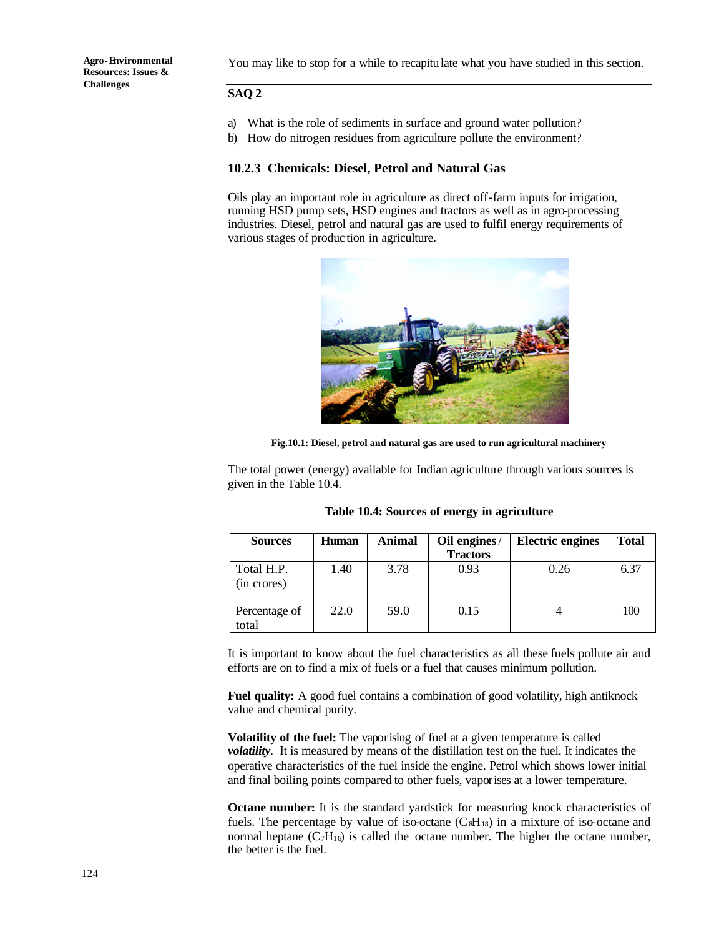You may like to stop for a while to recapitulate what you have studied in this section.

### **SAQ 2**

- a) What is the role of sediments in surface and ground water pollution?
- b) How do nitrogen residues from agriculture pollute the environment?

### **10.2.3 Chemicals: Diesel, Petrol and Natural Gas**

Oils play an important role in agriculture as direct off-farm inputs for irrigation, running HSD pump sets, HSD engines and tractors as well as in agro-processing industries. Diesel, petrol and natural gas are used to fulfil energy requirements of various stages of produc tion in agriculture.



**Fig.10.1: Diesel, petrol and natural gas are used to run agricultural machinery**

The total power (energy) available for Indian agriculture through various sources is given in the Table 10.4.

|  |  |  | Table 10.4: Sources of energy in agriculture |
|--|--|--|----------------------------------------------|
|  |  |  |                                              |

| <b>Sources</b>            | <b>Human</b> | Animal | Oil engines/    | <b>Electric engines</b> | <b>Total</b> |
|---------------------------|--------------|--------|-----------------|-------------------------|--------------|
|                           |              |        | <b>Tractors</b> |                         |              |
| Total H.P.<br>(in crores) | 1.40         | 3.78   | 0.93            | 0.26                    | 6.37         |
| Percentage of<br>total    | 22.0         | 59.0   | 0.15            |                         | 100          |

It is important to know about the fuel characteristics as all these fuels pollute air and efforts are on to find a mix of fuels or a fuel that causes minimum pollution.

**Fuel quality:** A good fuel contains a combination of good volatility, high antiknock value and chemical purity.

**Volatility of the fuel:** The vaporising of fuel at a given temperature is called *volatility*. It is measured by means of the distillation test on the fuel. It indicates the operative characteristics of the fuel inside the engine. Petrol which shows lower initial and final boiling points compared to other fuels, vaporises at a lower temperature.

**Octane number:** It is the standard yardstick for measuring knock characteristics of fuels. The percentage by value of iso-octane  $(C_8H_{18})$  in a mixture of iso-octane and normal heptane  $(C_7H_{16})$  is called the octane number. The higher the octane number, the better is the fuel.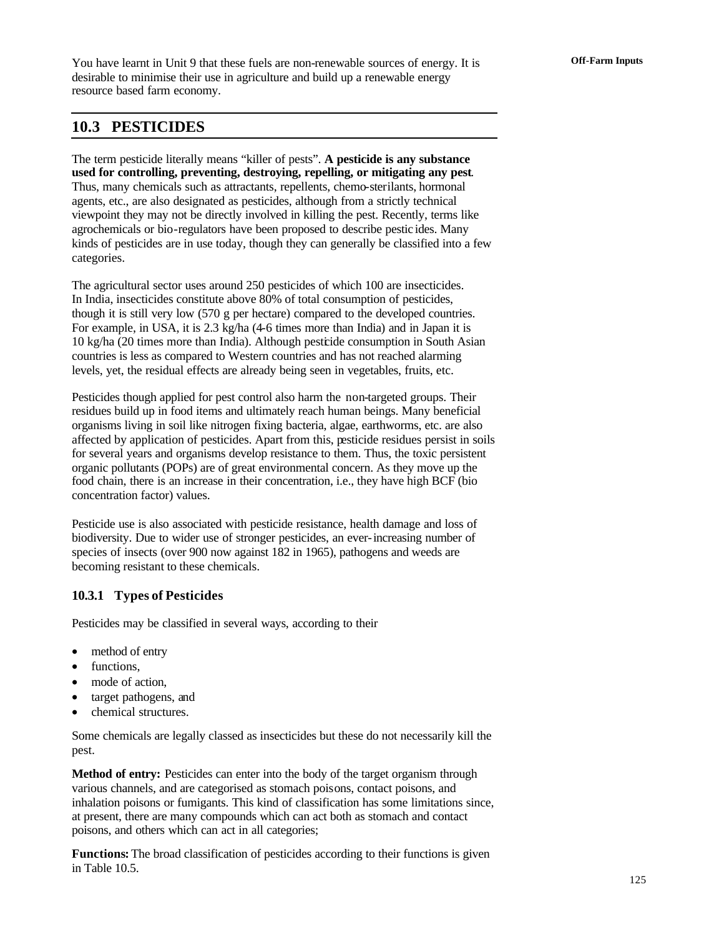You have learnt in Unit 9 that these fuels are non-renewable sources of energy. It is **Off-Farm Inputs** desirable to minimise their use in agriculture and build up a renewable energy resource based farm economy.

## **10.3 PESTICIDES**

The term pesticide literally means "killer of pests". **A pesticide is any substance used for controlling, preventing, destroying, repelling, or mitigating any pest**. Thus, many chemicals such as attractants, repellents, chemo-sterilants, hormonal agents, etc., are also designated as pesticides, although from a strictly technical viewpoint they may not be directly involved in killing the pest. Recently, terms like agrochemicals or bio-regulators have been proposed to describe pestic ides. Many kinds of pesticides are in use today, though they can generally be classified into a few categories.

The agricultural sector uses around 250 pesticides of which 100 are insecticides. In India, insecticides constitute above 80% of total consumption of pesticides, though it is still very low (570 g per hectare) compared to the developed countries. For example, in USA, it is 2.3 kg/ha (4-6 times more than India) and in Japan it is 10 kg/ha (20 times more than India). Although pesticide consumption in South Asian countries is less as compared to Western countries and has not reached alarming levels, yet, the residual effects are already being seen in vegetables, fruits, etc.

Pesticides though applied for pest control also harm the non-targeted groups. Their residues build up in food items and ultimately reach human beings. Many beneficial organisms living in soil like nitrogen fixing bacteria, algae, earthworms, etc. are also affected by application of pesticides. Apart from this, pesticide residues persist in soils for several years and organisms develop resistance to them. Thus, the toxic persistent organic pollutants (POPs) are of great environmental concern. As they move up the food chain, there is an increase in their concentration, i.e., they have high BCF (bio concentration factor) values.

Pesticide use is also associated with pesticide resistance, health damage and loss of biodiversity. Due to wider use of stronger pesticides, an ever-increasing number of species of insects (over 900 now against 182 in 1965), pathogens and weeds are becoming resistant to these chemicals.

### **10.3.1 Types of Pesticides**

Pesticides may be classified in several ways, according to their

- method of entry
- functions.
- mode of action.
- target pathogens, and
- chemical structures.

Some chemicals are legally classed as insecticides but these do not necessarily kill the pest.

**Method of entry:** Pesticides can enter into the body of the target organism through various channels, and are categorised as stomach poisons, contact poisons, and inhalation poisons or fumigants. This kind of classification has some limitations since, at present, there are many compounds which can act both as stomach and contact poisons, and others which can act in all categories;

**Functions:** The broad classification of pesticides according to their functions is given in Table 10.5.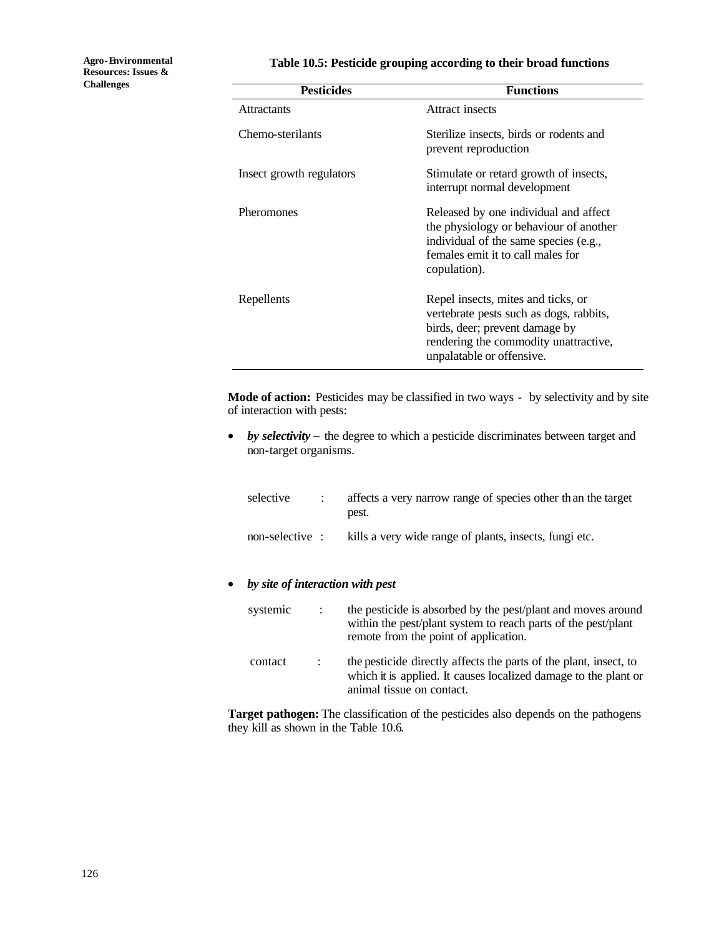### **Table 10.5: Pesticide grouping according to their broad functions**

| <b>Pesticides</b>        | <b>Functions</b>                                                                                                                                                                      |
|--------------------------|---------------------------------------------------------------------------------------------------------------------------------------------------------------------------------------|
| <b>Attractants</b>       | Attract insects                                                                                                                                                                       |
| Chemo-sterilants         | Sterilize insects, birds or rodents and<br>prevent reproduction                                                                                                                       |
| Insect growth regulators | Stimulate or retard growth of insects,<br>interrupt normal development                                                                                                                |
| <b>Pheromones</b>        | Released by one individual and affect<br>the physiology or behaviour of another<br>individual of the same species (e.g.,<br>females emit it to call males for<br>copulation).         |
| Repellents               | Repel insects, mites and ticks, or<br>vertebrate pests such as dogs, rabbits,<br>birds, deer; prevent damage by<br>rendering the commodity unattractive,<br>unpalatable or offensive. |

**Mode of action:** Pesticides may be classified in two ways - by selectivity and by site of interaction with pests:

• *by selectivity* − the degree to which a pesticide discriminates between target and non-target organisms.

| selective       | affects a very narrow range of species other than the target<br>pest. |
|-----------------|-----------------------------------------------------------------------|
| non-selective : | kills a very wide range of plants, insects, fungi etc.                |

### • *by site of interaction with pest*

| systemic | $\mathcal{L}$  | the pesticide is absorbed by the pest/plant and moves around<br>within the pest/plant system to reach parts of the pest/plant<br>remote from the point of application. |
|----------|----------------|------------------------------------------------------------------------------------------------------------------------------------------------------------------------|
| contact  | $\mathbb{R}^n$ | the pesticide directly affects the parts of the plant, insect, to<br>which it is applied. It causes localized damage to the plant or<br>animal tissue on contact.      |

**Target pathogen:** The classification of the pesticides also depends on the pathogens they kill as shown in the Table 10.6.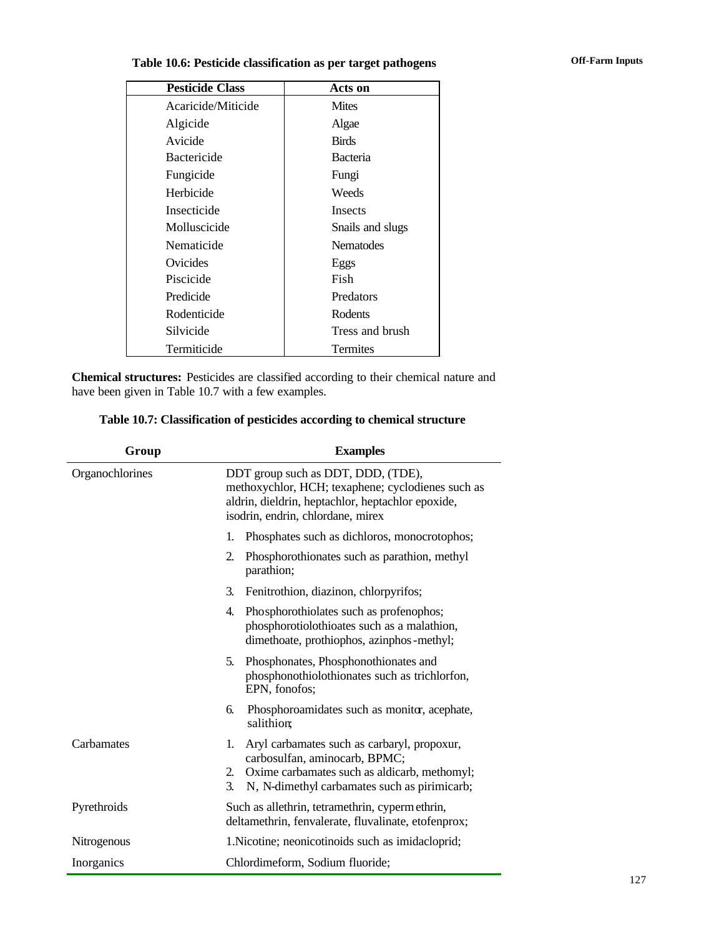# **Table 10.6: Pesticide classification as per target pathogens Off-Farm Inputs**

| <b>Pesticide Class</b> | Acts on          |
|------------------------|------------------|
| Acaricide/Miticide     | <b>Mites</b>     |
| Algicide               | Algae            |
| Avicide                | <b>Birds</b>     |
| <b>Bactericide</b>     | Bacteria         |
| Fungicide              | Fungi            |
| Herbicide              | Weeds            |
| Insecticide            | Insects          |
| Molluscicide           | Snails and slugs |
| Nematicide             | <b>Nematodes</b> |
| Ovicides               | Eggs             |
| Piscicide              | Fish             |
| Predicide              | Predators        |
| Rodenticide            | Rodents          |
| Silvicide              | Tress and brush  |
| Termiticide            | Termites         |

**Chemical structures:** Pesticides are classified according to their chemical nature and have been given in Table 10.7 with a few examples.

| Table 10.7: Classification of pesticides according to chemical structure |
|--------------------------------------------------------------------------|
|                                                                          |

| Group           | <b>Examples</b>                                                                                                                                                                                |  |  |
|-----------------|------------------------------------------------------------------------------------------------------------------------------------------------------------------------------------------------|--|--|
| Organochlorines | DDT group such as DDT, DDD, (TDE),<br>methoxychlor, HCH; texaphene; cyclodienes such as<br>aldrin, dieldrin, heptachlor, heptachlor epoxide,<br>isodrin, endrin, chlordane, mirex              |  |  |
|                 | Phosphates such as dichloros, monocrotophos;<br>1.                                                                                                                                             |  |  |
|                 | 2.<br>Phosphorothionates such as parathion, methyl<br>parathion;                                                                                                                               |  |  |
|                 | Fenitrothion, diazinon, chlorpyrifos;<br>3.                                                                                                                                                    |  |  |
|                 | Phosphorothiolates such as profenophos;<br>4.<br>phosphorotiolothioates such as a malathion,<br>dimethoate, prothiophos, azinphos-methyl;                                                      |  |  |
|                 | 5.<br>Phosphonates, Phosphonothionates and<br>phosphonothiolothionates such as trichlorfon,<br>EPN, fonofos;                                                                                   |  |  |
|                 | Phosphoroamidates such as monitor, acephate,<br>6.<br>salithion;                                                                                                                               |  |  |
| Carbamates      | Aryl carbamates such as carbaryl, propoxur,<br>1.<br>carbosulfan, aminocarb, BPMC;<br>Oxime carbamates such as aldicarb, methomyl;<br>2.<br>3.<br>N, N-dimethyl carbamates such as pirimicarb; |  |  |
| Pyrethroids     | Such as allethrin, tetramethrin, cyperm ethrin,<br>deltamethrin, fenvalerate, fluvalinate, etofenprox;                                                                                         |  |  |
| Nitrogenous     | 1. Nicotine; neonicotinoids such as imidacloprid;                                                                                                                                              |  |  |
| Inorganics      | Chlordimeform, Sodium fluoride;                                                                                                                                                                |  |  |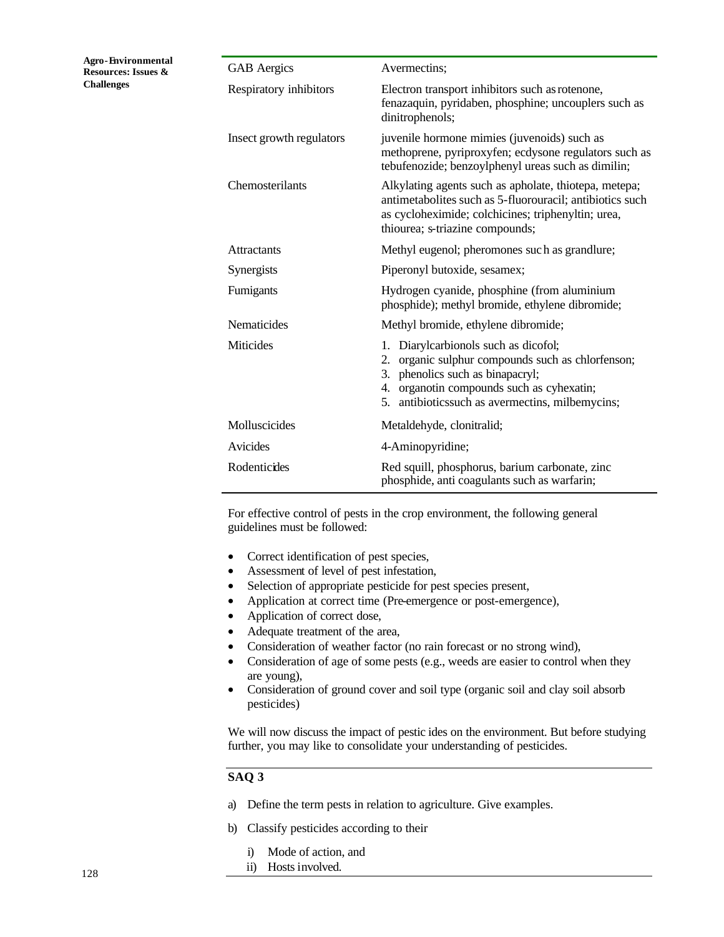| <b>GAB</b> Aergics       | Avermectins;                                                                                                                                                                                                                                 |
|--------------------------|----------------------------------------------------------------------------------------------------------------------------------------------------------------------------------------------------------------------------------------------|
| Respiratory inhibitors   | Electron transport inhibitors such as rotenone,<br>fenazaquin, pyridaben, phosphine; uncouplers such as<br>dinitrophenols;                                                                                                                   |
| Insect growth regulators | juvenile hormone mimies (juvenoids) such as<br>methoprene, pyriproxyfen; ecdysone regulators such as<br>tebufenozide; benzoylphenyl ureas such as dimilin;                                                                                   |
| Chemosterilants          | Alkylating agents such as apholate, thiotepa, metepa;<br>antimetabolites such as 5-fluorouracil; antibiotics such<br>as cycloheximide; colchicines; triphenyltin; urea,<br>thiourea; s-triazine compounds;                                   |
| <b>Attractants</b>       | Methyl eugenol; pheromones such as grandlure;                                                                                                                                                                                                |
| Synergists               | Piperonyl butoxide, sesamex;                                                                                                                                                                                                                 |
| Fumigants                | Hydrogen cyanide, phosphine (from aluminium<br>phosphide); methyl bromide, ethylene dibromide;                                                                                                                                               |
| Nematicides              | Methyl bromide, ethylene dibromide;                                                                                                                                                                                                          |
| <b>Miticides</b>         | Diarylcarbionols such as dicofol;<br>1.<br>organic sulphur compounds such as chlorfenson;<br>2.<br>phenolics such as binapacryl;<br>3.<br>organotin compounds such as cyhexatin;<br>4.<br>5.<br>antibioticssuch as avermectins, milbemycins; |
| Molluscicides            | Metaldehyde, clonitralid;                                                                                                                                                                                                                    |
| Avicides                 | 4-Aminopyridine;                                                                                                                                                                                                                             |
| Rodenticides             | Red squill, phosphorus, barium carbonate, zinc<br>phosphide, anti coagulants such as warfarin;                                                                                                                                               |

For effective control of pests in the crop environment, the following general guidelines must be followed:

- Correct identification of pest species,
- Assessment of level of pest infestation,
- Selection of appropriate pesticide for pest species present,
- Application at correct time (Pre-emergence or post-emergence),
- Application of correct dose,
- Adequate treatment of the area,
- Consideration of weather factor (no rain forecast or no strong wind),
- Consideration of age of some pests (e.g., weeds are easier to control when they are young),
- Consideration of ground cover and soil type (organic soil and clay soil absorb pesticides)

We will now discuss the impact of pestic ides on the environment. But before studying further, you may like to consolidate your understanding of pesticides.

### **SAQ 3**

- a) Define the term pests in relation to agriculture. Give examples.
- b) Classify pesticides according to their
	- i) Mode of action, and
	- ii) Hosts involved.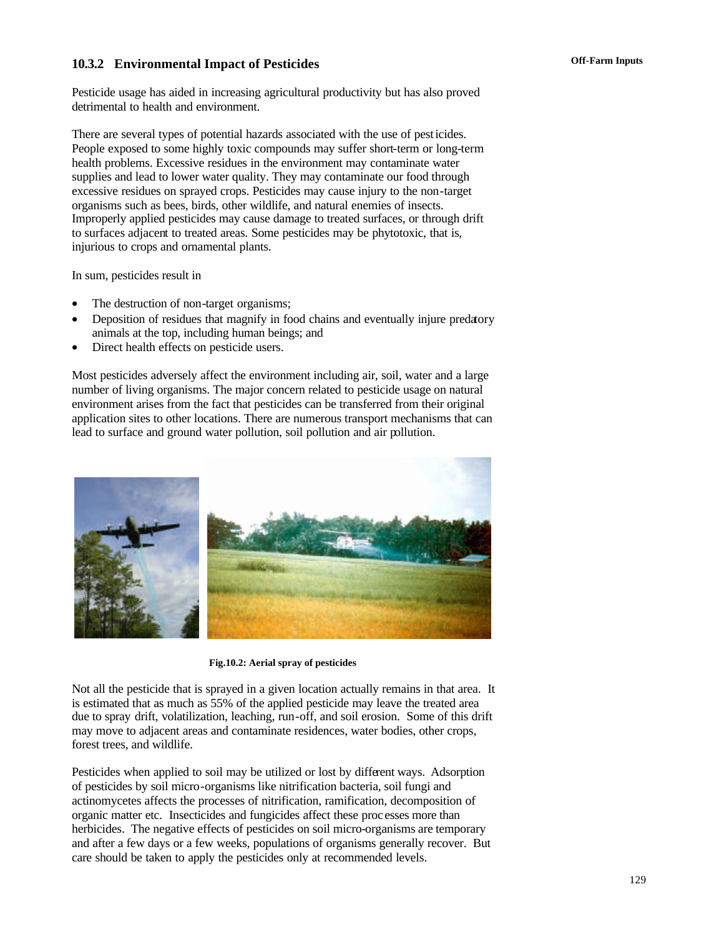## **Off-Farm Inputs 10.3.2 Environmental Impact of Pesticides**

Pesticide usage has aided in increasing agricultural productivity but has also proved detrimental to health and environment.

There are several types of potential hazards associated with the use of pesticides. People exposed to some highly toxic compounds may suffer short-term or long-term health problems. Excessive residues in the environment may contaminate water supplies and lead to lower water quality. They may contaminate our food through excessive residues on sprayed crops. Pesticides may cause injury to the non-target organisms such as bees, birds, other wildlife, and natural enemies of insects. Improperly applied pesticides may cause damage to treated surfaces, or through drift to surfaces adjacent to treated areas. Some pesticides may be phytotoxic, that is, injurious to crops and ornamental plants.

In sum, pesticides result in

- The destruction of non-target organisms;
- Deposition of residues that magnify in food chains and eventually injure predatory animals at the top, including human beings; and
- Direct health effects on pesticide users.

Most pesticides adversely affect the environment including air, soil, water and a large number of living organisms. The major concern related to pesticide usage on natural environment arises from the fact that pesticides can be transferred from their original application sites to other locations. There are numerous transport mechanisms that can lead to surface and ground water pollution, soil pollution and air pollution.



**Fig.10.2: Aerial spray of pesticides**

Not all the pesticide that is sprayed in a given location actually remains in that area. It is estimated that as much as 55% of the applied pesticide may leave the treated area due to spray drift, volatilization, leaching, run-off, and soil erosion. Some of this drift may move to adjacent areas and contaminate residences, water bodies, other crops, forest trees, and wildlife.

Pesticides when applied to soil may be utilized or lost by different ways. Adsorption of pesticides by soil micro-organisms like nitrification bacteria, soil fungi and actinomycetes affects the processes of nitrification, ramification, decomposition of organic matter etc. Insecticides and fungicides affect these proc esses more than herbicides. The negative effects of pesticides on soil micro-organisms are temporary and after a few days or a few weeks, populations of organisms generally recover. But care should be taken to apply the pesticides only at recommended levels.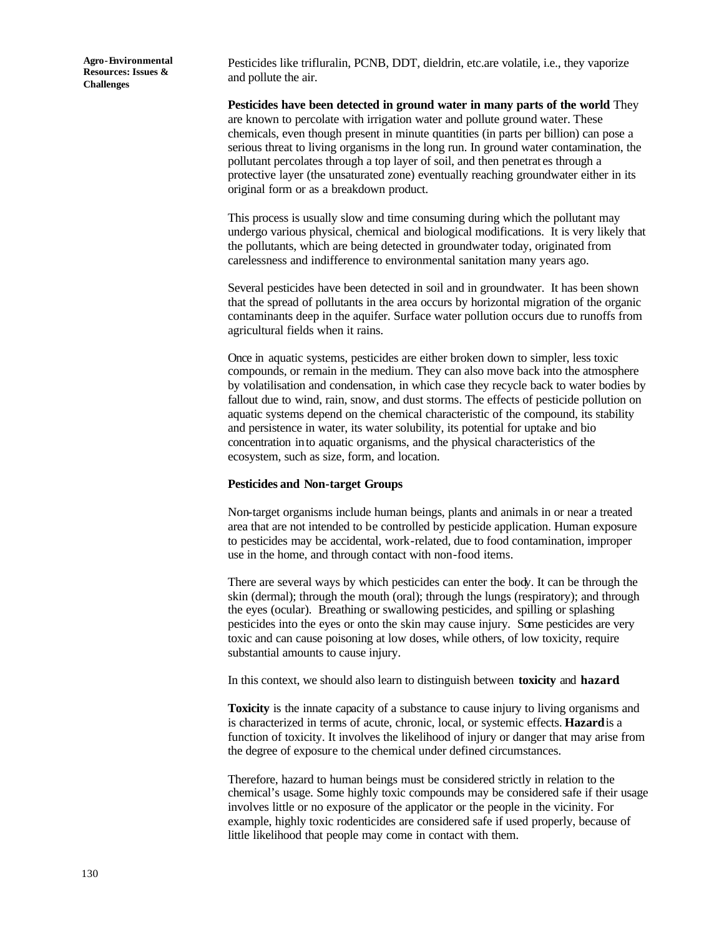Pesticides like trifluralin, PCNB, DDT, dieldrin, etc.are volatile, i.e., they vaporize and pollute the air.

**Pesticides have been detected in ground water in many parts of the world**. They are known to percolate with irrigation water and pollute ground water. These chemicals, even though present in minute quantities (in parts per billion) can pose a serious threat to living organisms in the long run. In ground water contamination, the pollutant percolates through a top layer of soil, and then penetrat es through a protective layer (the unsaturated zone) eventually reaching groundwater either in its original form or as a breakdown product.

This process is usually slow and time consuming during which the pollutant may undergo various physical, chemical and biological modifications. It is very likely that the pollutants, which are being detected in groundwater today, originated from carelessness and indifference to environmental sanitation many years ago.

Several pesticides have been detected in soil and in groundwater. It has been shown that the spread of pollutants in the area occurs by horizontal migration of the organic contaminants deep in the aquifer. Surface water pollution occurs due to runoffs from agricultural fields when it rains.

Once in aquatic systems, pesticides are either broken down to simpler, less toxic compounds, or remain in the medium. They can also move back into the atmosphere by volatilisation and condensation, in which case they recycle back to water bodies by fallout due to wind, rain, snow, and dust storms. The effects of pesticide pollution on aquatic systems depend on the chemical characteristic of the compound, its stability and persistence in water, its water solubility, its potential for uptake and bio concentration into aquatic organisms, and the physical characteristics of the ecosystem, such as size, form, and location.

#### **Pesticides and Non-target Groups**

Non-target organisms include human beings, plants and animals in or near a treated area that are not intended to be controlled by pesticide application. Human exposure to pesticides may be accidental, work-related, due to food contamination, improper use in the home, and through contact with non-food items.

There are several ways by which pesticides can enter the body. It can be through the skin (dermal); through the mouth (oral); through the lungs (respiratory); and through the eyes (ocular). Breathing or swallowing pesticides, and spilling or splashing pesticides into the eyes or onto the skin may cause injury. Some pesticides are very toxic and can cause poisoning at low doses, while others, of low toxicity, require substantial amounts to cause injury.

In this context, we should also learn to distinguish between **toxicity** and **hazard**.

**Toxicity** is the innate capacity of a substance to cause injury to living organisms and is characterized in terms of acute, chronic, local, or systemic effects. **Hazard** is a function of toxicity. It involves the likelihood of injury or danger that may arise from the degree of exposure to the chemical under defined circumstances.

Therefore, hazard to human beings must be considered strictly in relation to the chemical's usage. Some highly toxic compounds may be considered safe if their usage involves little or no exposure of the applicator or the people in the vicinity. For example, highly toxic rodenticides are considered safe if used properly, because of little likelihood that people may come in contact with them.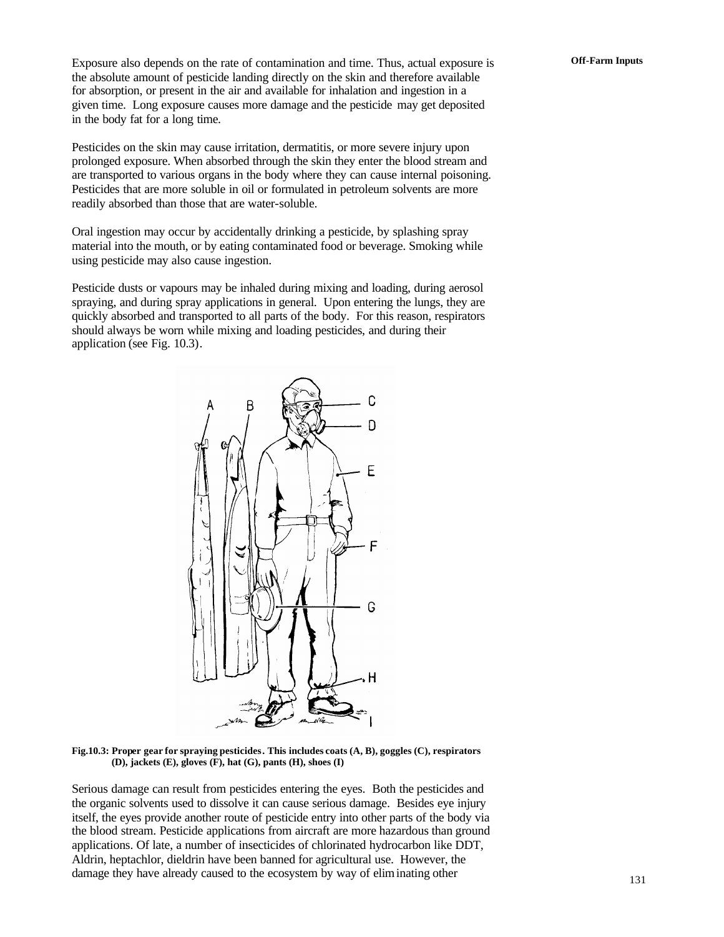Exposure also depends on the rate of contamination and time. Thus, actual exposure is **Off-Farm Inputs** the absolute amount of pesticide landing directly on the skin and therefore available for absorption, or present in the air and available for inhalation and ingestion in a given time. Long exposure causes more damage and the pesticide may get deposited in the body fat for a long time.

Pesticides on the skin may cause irritation, dermatitis, or more severe injury upon prolonged exposure. When absorbed through the skin they enter the blood stream and are transported to various organs in the body where they can cause internal poisoning. Pesticides that are more soluble in oil or formulated in petroleum solvents are more readily absorbed than those that are water-soluble.

Oral ingestion may occur by accidentally drinking a pesticide, by splashing spray material into the mouth, or by eating contaminated food or beverage. Smoking while using pesticide may also cause ingestion.

Pesticide dusts or vapours may be inhaled during mixing and loading, during aerosol spraying, and during spray applications in general. Upon entering the lungs, they are quickly absorbed and transported to all parts of the body. For this reason, respirators should always be worn while mixing and loading pesticides, and during their application (see Fig. 10.3).



**Fig.10.3: Proper gear for spraying pesticides. This includes coats (A, B), goggles (C), respirators (D), jackets (E), gloves (F), hat (G), pants (H), shoes (I)**

Serious damage can result from pesticides entering the eyes. Both the pesticides and the organic solvents used to dissolve it can cause serious damage. Besides eye injury itself, the eyes provide another route of pesticide entry into other parts of the body via the blood stream. Pesticide applications from aircraft are more hazardous than ground applications. Of late, a number of insecticides of chlorinated hydrocarbon like DDT, Aldrin, heptachlor, dieldrin have been banned for agricultural use. However, the damage they have already caused to the ecosystem by way of eliminating other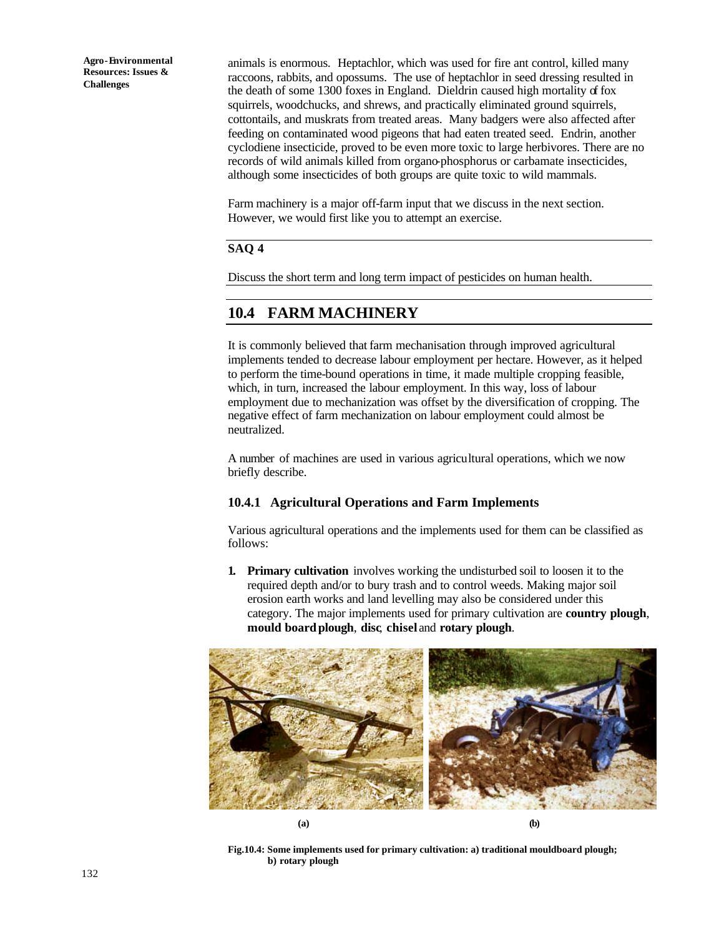animals is enormous. Heptachlor, which was used for fire ant control, killed many raccoons, rabbits, and opossums. The use of heptachlor in seed dressing resulted in the death of some 1300 foxes in England. Dieldrin caused high mortality of fox squirrels, woodchucks, and shrews, and practically eliminated ground squirrels, cottontails, and muskrats from treated areas. Many badgers were also affected after feeding on contaminated wood pigeons that had eaten treated seed. Endrin, another cyclodiene insecticide, proved to be even more toxic to large herbivores. There are no records of wild animals killed from organo-phosphorus or carbamate insecticides, although some insecticides of both groups are quite toxic to wild mammals.

Farm machinery is a major off-farm input that we discuss in the next section. However, we would first like you to attempt an exercise.

### **SAQ 4**

Discuss the short term and long term impact of pesticides on human health.

### **10.4 FARM MACHINERY**

It is commonly believed that farm mechanisation through improved agricultural implements tended to decrease labour employment per hectare. However, as it helped to perform the time-bound operations in time, it made multiple cropping feasible, which, in turn, increased the labour employment. In this way, loss of labour employment due to mechanization was offset by the diversification of cropping. The negative effect of farm mechanization on labour employment could almost be neutralized.

A number of machines are used in various agricultural operations, which we now briefly describe.

### **10.4.1 Agricultural Operations and Farm Implements**

Various agricultural operations and the implements used for them can be classified as follows:

**1. Primary cultivation** involves working the undisturbed soil to loosen it to the required depth and/or to bury trash and to control weeds. Making major soil erosion earth works and land levelling may also be considered under this category. The major implements used for primary cultivation are **country plough**, **mould boardplough**, **disc**, **chisel** and **rotary plough**.



**Fig.10.4: Some implements used for primary cultivation: a) traditional mouldboard plough; b) rotary plough**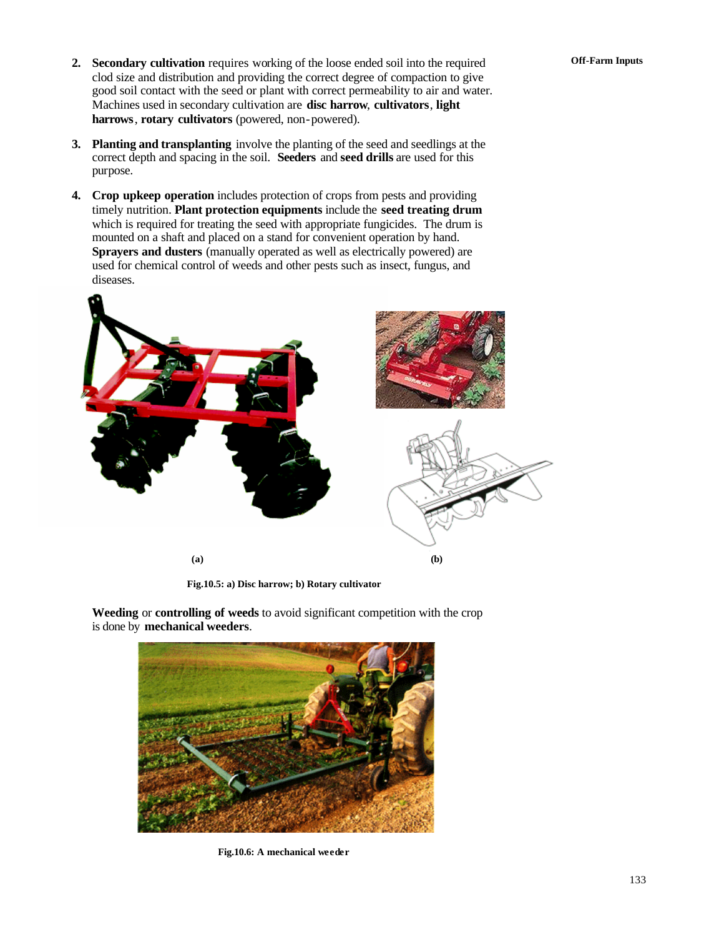- **Off-Farm Inputs 2. Secondary cultivation** requires working of the loose ended soil into the required clod size and distribution and providing the correct degree of compaction to give good soil contact with the seed or plant with correct permeability to air and water. Machines used in secondary cultivation are **disc harrow**, **cultivators**, **light harrows**, **rotary cultivators** (powered, non-powered).
- **3. Planting and transplanting** involve the planting of the seed and seedlings at the correct depth and spacing in the soil. **Seeders** and **seed drills** are used for this purpose.
- **4. Crop upkeep operation** includes protection of crops from pests and providing timely nutrition. **Plant protection equipments** include the **seed treating drum** which is required for treating the seed with appropriate fungicides. The drum is mounted on a shaft and placed on a stand for convenient operation by hand. **Sprayers and dusters** (manually operated as well as electrically powered) are used for chemical control of weeds and other pests such as insect, fungus, and diseases.



**Fig.10.5: a) Disc harrow; b) Rotary cultivator**



**Weeding** or **controlling of weeds** to avoid significant competition with the crop is done by **mechanical weeders**.

**Fig.10.6: A mechanical weeder**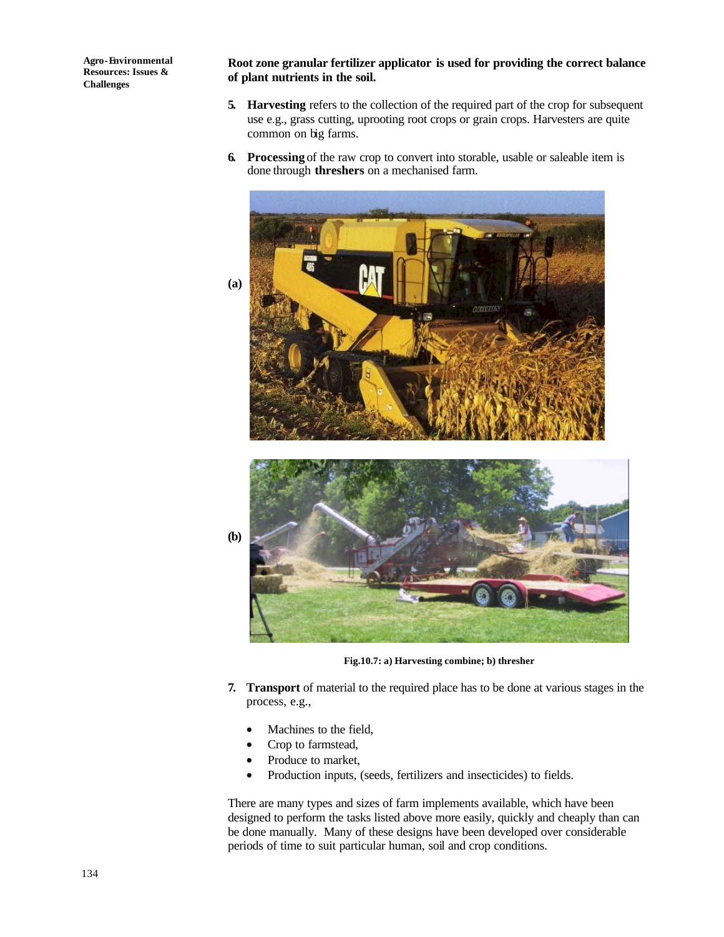**Root zone granular fertilizer applicator is used for providing the correct balance of plant nutrients in the soil.**

- **5. Harvesting** refers to the collection of the required part of the crop for subsequent use e.g., grass cutting, uprooting root crops or grain crops. Harvesters are quite common on big farms.
- **6. Processing** of the raw crop to convert into storable, usable or saleable item is done through **threshers** on a mechanised farm.





**Fig.10.7: a) Harvesting combine; b) thresher**

- **7. Transport** of material to the required place has to be done at various stages in the process, e.g.,
	- Machines to the field,
	- Crop to farmstead,
	- Produce to market,
	- Production inputs, (seeds, fertilizers and insecticides) to fields.

There are many types and sizes of farm implements available, which have been designed to perform the tasks listed above more easily, quickly and cheaply than can be done manually. Many of these designs have been developed over considerable periods of time to suit particular human, soil and crop conditions.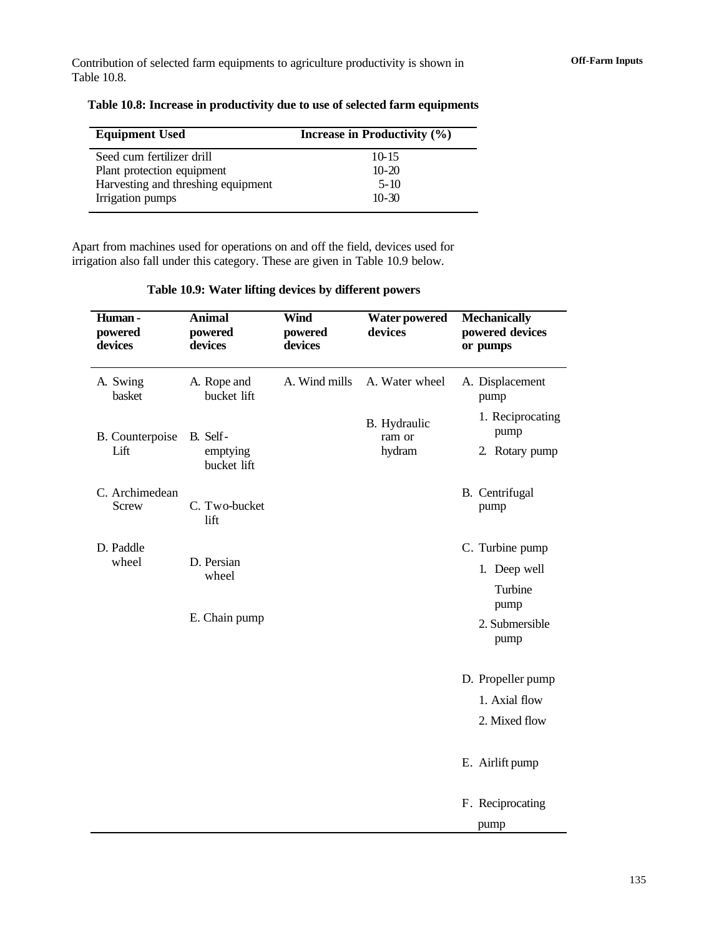Contribution of selected farm equipments to agriculture productivity is shown in **Off-Farm Inputs** Table 10.8.

| Increase in Productivity (%) |
|------------------------------|
| 10-15                        |
| $10-20$                      |
| $5-10$                       |
| $10-30$                      |
|                              |

**Table 10.8: Increase in productivity due to use of selected farm equipments**

Apart from machines used for operations on and off the field, devices used for irrigation also fall under this category. These are given in Table 10.9 below.

| Table 10.9: Water lifting devices by different powers |  |  |  |
|-------------------------------------------------------|--|--|--|
|                                                       |  |  |  |

| Human-<br>powered<br>devices | <b>Animal</b><br>powered<br>devices | <b>Wind</b><br>powered<br>devices | <b>Water powered</b><br>devices | <b>Mechanically</b><br>powered devices<br>or pumps |
|------------------------------|-------------------------------------|-----------------------------------|---------------------------------|----------------------------------------------------|
| A. Swing<br>basket           | A. Rope and<br>bucket lift          | A. Wind mills                     | A. Water wheel                  | A. Displacement<br>pump                            |
| B. Counterpoise              | B. Self-                            |                                   | B. Hydraulic<br>ram or          | 1. Reciprocating<br>pump                           |
| Lift                         | emptying<br>bucket lift             |                                   | hydram                          | 2. Rotary pump                                     |
| C. Archimedean<br>Screw      | C. Two-bucket<br>lift               |                                   |                                 | B. Centrifugal<br>pump                             |
| D. Paddle<br>wheel           | D. Persian                          |                                   |                                 | C. Turbine pump                                    |
|                              | wheel                               |                                   |                                 | 1. Deep well<br>Turbine<br>pump                    |
|                              | E. Chain pump                       |                                   |                                 | 2. Submersible<br>pump                             |
|                              |                                     |                                   |                                 | D. Propeller pump                                  |
|                              |                                     |                                   |                                 | 1. Axial flow                                      |
|                              |                                     |                                   |                                 | 2. Mixed flow                                      |
|                              |                                     |                                   |                                 | E. Airlift pump                                    |
|                              |                                     |                                   |                                 | F. Reciprocating                                   |
|                              |                                     |                                   |                                 | pump                                               |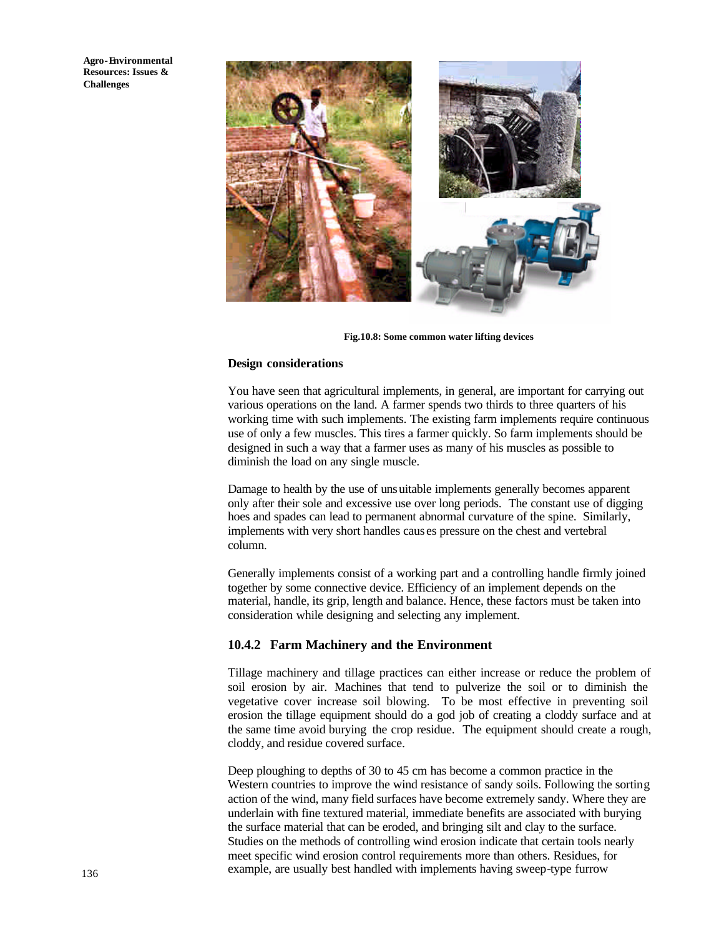

**Fig.10.8: Some common water lifting devices**

#### **Design considerations**

You have seen that agricultural implements, in general, are important for carrying out various operations on the land. A farmer spends two thirds to three quarters of his working time with such implements. The existing farm implements require continuous use of only a few muscles. This tires a farmer quickly. So farm implements should be designed in such a way that a farmer uses as many of his muscles as possible to diminish the load on any single muscle.

Damage to health by the use of unsuitable implements generally becomes apparent only after their sole and excessive use over long periods. The constant use of digging hoes and spades can lead to permanent abnormal curvature of the spine. Similarly, implements with very short handles caus es pressure on the chest and vertebral column.

Generally implements consist of a working part and a controlling handle firmly joined together by some connective device. Efficiency of an implement depends on the material, handle, its grip, length and balance. Hence, these factors must be taken into consideration while designing and selecting any implement.

#### **10.4.2 Farm Machinery and the Environment**

Tillage machinery and tillage practices can either increase or reduce the problem of soil erosion by air. Machines that tend to pulverize the soil or to diminish the vegetative cover increase soil blowing. To be most effective in preventing soil erosion the tillage equipment should do a god job of creating a cloddy surface and at the same time avoid burying the crop residue. The equipment should create a rough, cloddy, and residue covered surface.

Deep ploughing to depths of 30 to 45 cm has become a common practice in the Western countries to improve the wind resistance of sandy soils. Following the sorting action of the wind, many field surfaces have become extremely sandy. Where they are underlain with fine textured material, immediate benefits are associated with burying the surface material that can be eroded, and bringing silt and clay to the surface. Studies on the methods of controlling wind erosion indicate that certain tools nearly meet specific wind erosion control requirements more than others. Residues, for example, are usually best handled with implements having sweep-type furrow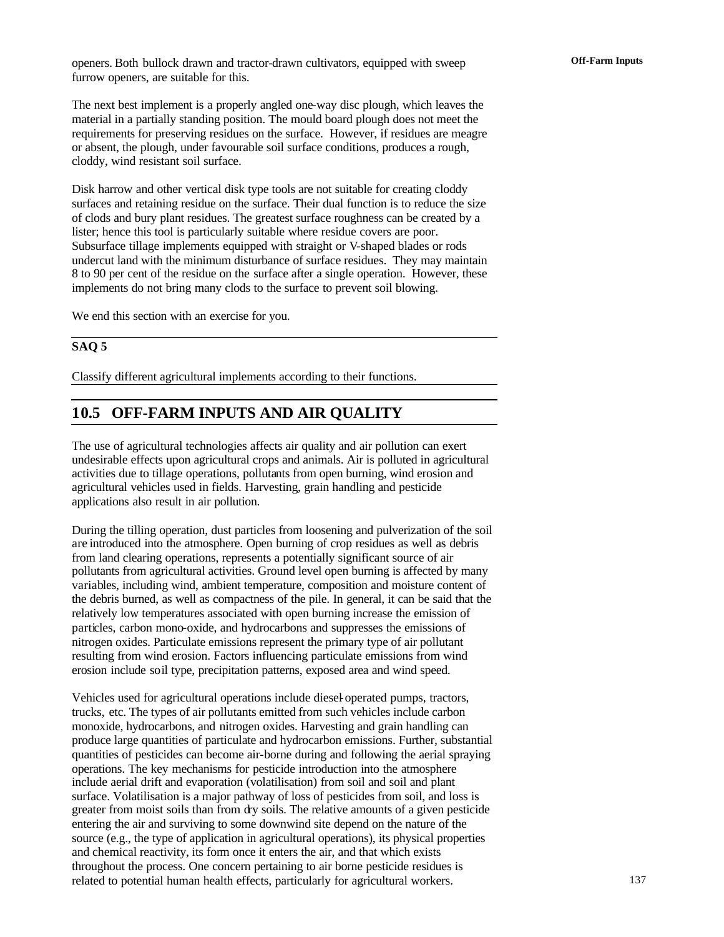**Off-Farm Inputs** openers. Both bullock drawn and tractor-drawn cultivators, equipped with sweep furrow openers, are suitable for this.

The next best implement is a properly angled one-way disc plough, which leaves the material in a partially standing position. The mould board plough does not meet the requirements for preserving residues on the surface. However, if residues are meagre or absent, the plough, under favourable soil surface conditions, produces a rough, cloddy, wind resistant soil surface.

Disk harrow and other vertical disk type tools are not suitable for creating cloddy surfaces and retaining residue on the surface. Their dual function is to reduce the size of clods and bury plant residues. The greatest surface roughness can be created by a lister; hence this tool is particularly suitable where residue covers are poor. Subsurface tillage implements equipped with straight or V-shaped blades or rods undercut land with the minimum disturbance of surface residues. They may maintain 8 to 90 per cent of the residue on the surface after a single operation. However, these implements do not bring many clods to the surface to prevent soil blowing.

We end this section with an exercise for you.

### **SAQ 5**

Classify different agricultural implements according to their functions.

### **10.5 OFF-FARM INPUTS AND AIR QUALITY**

The use of agricultural technologies affects air quality and air pollution can exert undesirable effects upon agricultural crops and animals. Air is polluted in agricultural activities due to tillage operations, pollutants from open burning, wind erosion and agricultural vehicles used in fields. Harvesting, grain handling and pesticide applications also result in air pollution.

During the tilling operation, dust particles from loosening and pulverization of the soil are introduced into the atmosphere. Open burning of crop residues as well as debris from land clearing operations, represents a potentially significant source of air pollutants from agricultural activities. Ground level open burning is affected by many variables, including wind, ambient temperature, composition and moisture content of the debris burned, as well as compactness of the pile. In general, it can be said that the relatively low temperatures associated with open burning increase the emission of particles, carbon mono-oxide, and hydrocarbons and suppresses the emissions of nitrogen oxides. Particulate emissions represent the primary type of air pollutant resulting from wind erosion. Factors influencing particulate emissions from wind erosion include soil type, precipitation patterns, exposed area and wind speed.

Vehicles used for agricultural operations include diesel-operated pumps, tractors, trucks, etc. The types of air pollutants emitted from such vehicles include carbon monoxide, hydrocarbons, and nitrogen oxides. Harvesting and grain handling can produce large quantities of particulate and hydrocarbon emissions. Further, substantial quantities of pesticides can become air-borne during and following the aerial spraying operations. The key mechanisms for pesticide introduction into the atmosphere include aerial drift and evaporation (volatilisation) from soil and soil and plant surface. Volatilisation is a major pathway of loss of pesticides from soil, and loss is greater from moist soils than from dry soils. The relative amounts of a given pesticide entering the air and surviving to some downwind site depend on the nature of the source (e.g., the type of application in agricultural operations), its physical properties and chemical reactivity, its form once it enters the air, and that which exists throughout the process. One concern pertaining to air borne pesticide residues is related to potential human health effects, particularly for agricultural workers.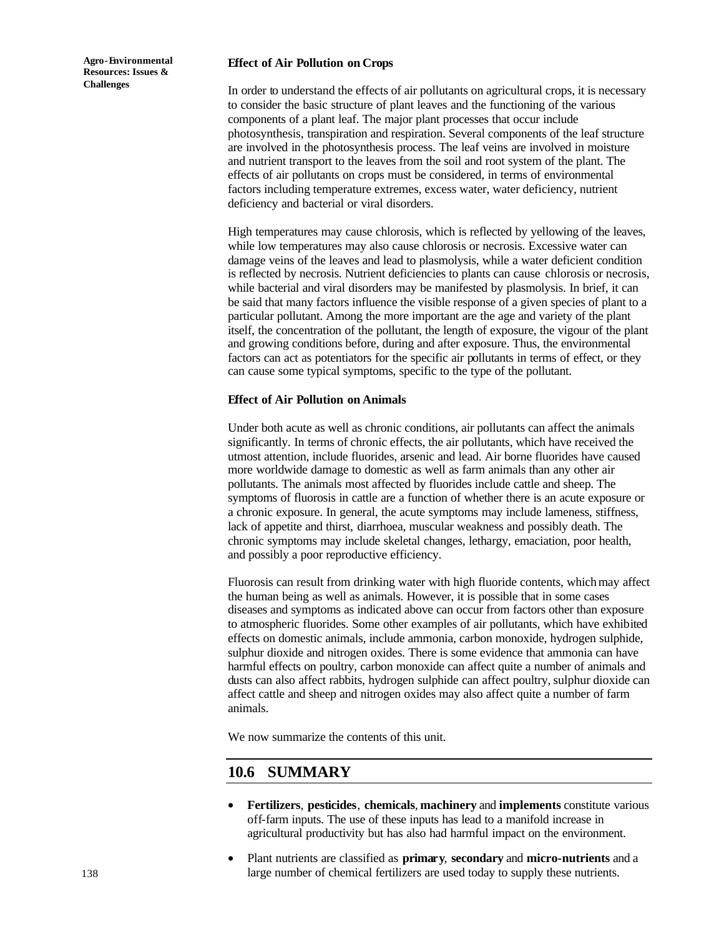#### **Effect of Air Pollution on Crops**

In order to understand the effects of air pollutants on agricultural crops, it is necessary to consider the basic structure of plant leaves and the functioning of the various components of a plant leaf. The major plant processes that occur include photosynthesis, transpiration and respiration. Several components of the leaf structure are involved in the photosynthesis process. The leaf veins are involved in moisture and nutrient transport to the leaves from the soil and root system of the plant. The effects of air pollutants on crops must be considered, in terms of environmental factors including temperature extremes, excess water, water deficiency, nutrient deficiency and bacterial or viral disorders.

High temperatures may cause chlorosis, which is reflected by yellowing of the leaves, while low temperatures may also cause chlorosis or necrosis. Excessive water can damage veins of the leaves and lead to plasmolysis, while a water deficient condition is reflected by necrosis. Nutrient deficiencies to plants can cause chlorosis or necrosis, while bacterial and viral disorders may be manifested by plasmolysis. In brief, it can be said that many factors influence the visible response of a given species of plant to a particular pollutant. Among the more important are the age and variety of the plant itself, the concentration of the pollutant, the length of exposure, the vigour of the plant and growing conditions before, during and after exposure. Thus, the environmental factors can act as potentiators for the specific air pollutants in terms of effect, or they can cause some typical symptoms, specific to the type of the pollutant.

#### **Effect of Air Pollution on Animals**

Under both acute as well as chronic conditions, air pollutants can affect the animals significantly. In terms of chronic effects, the air pollutants, which have received the utmost attention, include fluorides, arsenic and lead. Air borne fluorides have caused more worldwide damage to domestic as well as farm animals than any other air pollutants. The animals most affected by fluorides include cattle and sheep. The symptoms of fluorosis in cattle are a function of whether there is an acute exposure or a chronic exposure. In general, the acute symptoms may include lameness, stiffness, lack of appetite and thirst, diarrhoea, muscular weakness and possibly death. The chronic symptoms may include skeletal changes, lethargy, emaciation, poor health, and possibly a poor reproductive efficiency.

Fluorosis can result from drinking water with high fluoride contents, which may affect the human being as well as animals. However, it is possible that in some cases diseases and symptoms as indicated above can occur from factors other than exposure to atmospheric fluorides. Some other examples of air pollutants, which have exhibited effects on domestic animals, include ammonia, carbon monoxide, hydrogen sulphide, sulphur dioxide and nitrogen oxides. There is some evidence that ammonia can have harmful effects on poultry, carbon monoxide can affect quite a number of animals and dusts can also affect rabbits, hydrogen sulphide can affect poultry, sulphur dioxide can affect cattle and sheep and nitrogen oxides may also affect quite a number of farm animals.

We now summarize the contents of this unit.

### **10.6 SUMMARY**

- **Fertilizers**, **pesticides**, **chemicals**, **machinery** and **implements** constitute various off-farm inputs. The use of these inputs has lead to a manifold increase in agricultural productivity but has also had harmful impact on the environment.
- Plant nutrients are classified as **primary**, **secondary** and **micro-nutrients** and a large number of chemical fertilizers are used today to supply these nutrients.